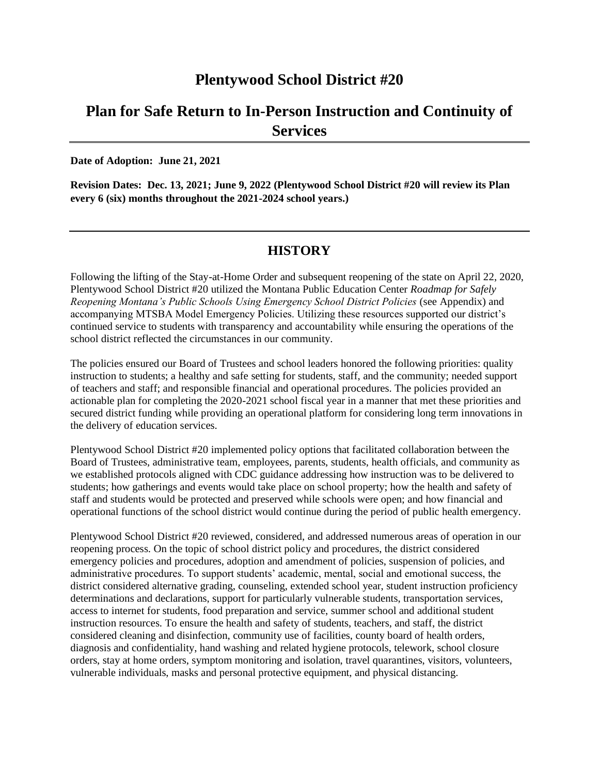## **Plentywood School District #20**

# **Plan for Safe Return to In-Person Instruction and Continuity of Services**

**Date of Adoption: June 21, 2021**

**Revision Dates: Dec. 13, 2021; June 9, 2022 (Plentywood School District #20 will review its Plan every 6 (six) months throughout the 2021-2024 school years.)**

### **HISTORY**

Following the lifting of the Stay-at-Home Order and subsequent reopening of the state on April 22, 2020, Plentywood School District #20 utilized the Montana Public Education Center *Roadmap for Safely Reopening Montana's Public Schools Using Emergency School District Policies* (see Appendix) and accompanying MTSBA Model Emergency Policies. Utilizing these resources supported our district's continued service to students with transparency and accountability while ensuring the operations of the school district reflected the circumstances in our community.

The policies ensured our Board of Trustees and school leaders honored the following priorities: quality instruction to students; a healthy and safe setting for students, staff, and the community; needed support of teachers and staff; and responsible financial and operational procedures. The policies provided an actionable plan for completing the 2020-2021 school fiscal year in a manner that met these priorities and secured district funding while providing an operational platform for considering long term innovations in the delivery of education services.

Plentywood School District #20 implemented policy options that facilitated collaboration between the Board of Trustees, administrative team, employees, parents, students, health officials, and community as we established protocols aligned with CDC guidance addressing how instruction was to be delivered to students; how gatherings and events would take place on school property; how the health and safety of staff and students would be protected and preserved while schools were open; and how financial and operational functions of the school district would continue during the period of public health emergency.

Plentywood School District #20 reviewed, considered, and addressed numerous areas of operation in our reopening process. On the topic of school district policy and procedures, the district considered emergency policies and procedures, adoption and amendment of policies, suspension of policies, and administrative procedures. To support students' academic, mental, social and emotional success, the district considered alternative grading, counseling, extended school year, student instruction proficiency determinations and declarations, support for particularly vulnerable students, transportation services, access to internet for students, food preparation and service, summer school and additional student instruction resources. To ensure the health and safety of students, teachers, and staff, the district considered cleaning and disinfection, community use of facilities, county board of health orders, diagnosis and confidentiality, hand washing and related hygiene protocols, telework, school closure orders, stay at home orders, symptom monitoring and isolation, travel quarantines, visitors, volunteers, vulnerable individuals, masks and personal protective equipment, and physical distancing.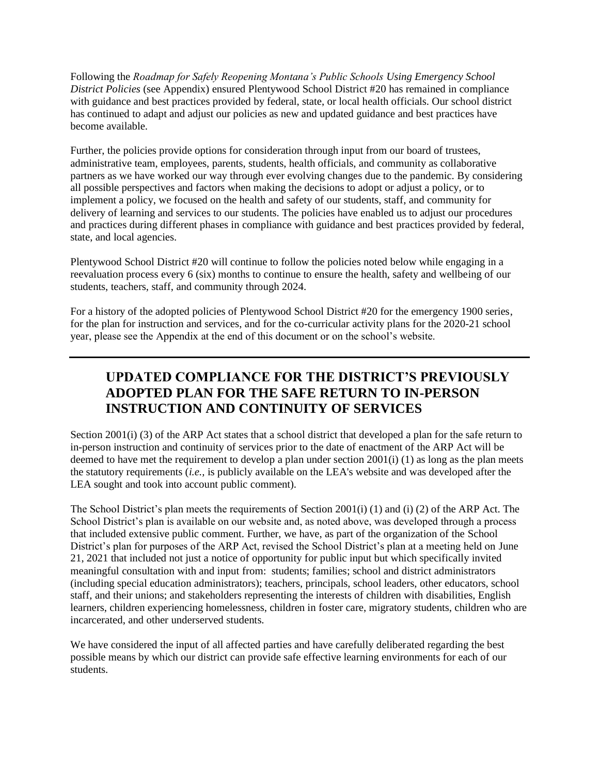Following the *Roadmap for Safely Reopening Montana's Public Schools Using Emergency School District Policies* (see Appendix) ensured Plentywood School District #20 has remained in compliance with guidance and best practices provided by federal, state, or local health officials. Our school district has continued to adapt and adjust our policies as new and updated guidance and best practices have become available.

Further, the policies provide options for consideration through input from our board of trustees, administrative team, employees, parents, students, health officials, and community as collaborative partners as we have worked our way through ever evolving changes due to the pandemic. By considering all possible perspectives and factors when making the decisions to adopt or adjust a policy, or to implement a policy, we focused on the health and safety of our students, staff, and community for delivery of learning and services to our students. The policies have enabled us to adjust our procedures and practices during different phases in compliance with guidance and best practices provided by federal, state, and local agencies.

Plentywood School District #20 will continue to follow the policies noted below while engaging in a reevaluation process every 6 (six) months to continue to ensure the health, safety and wellbeing of our students, teachers, staff, and community through 2024.

For a history of the adopted policies of Plentywood School District #20 for the emergency 1900 series, for the plan for instruction and services, and for the co-curricular activity plans for the 2020-21 school year, please see the Appendix at the end of this document or on the school's website.

## **UPDATED COMPLIANCE FOR THE DISTRICT'S PREVIOUSLY ADOPTED PLAN FOR THE SAFE RETURN TO IN-PERSON INSTRUCTION AND CONTINUITY OF SERVICES**

Section 2001(i) (3) of the ARP Act states that a school district that developed a plan for the safe return to in-person instruction and continuity of services prior to the date of enactment of the ARP Act will be deemed to have met the requirement to develop a plan under section 2001(i) (1) as long as the plan meets the statutory requirements (*i.e.,* is publicly available on the LEA's website and was developed after the LEA sought and took into account public comment).

The School District's plan meets the requirements of Section 2001(i) (1) and (i) (2) of the ARP Act. The School District's plan is available on our website and, as noted above, was developed through a process that included extensive public comment. Further, we have, as part of the organization of the School District's plan for purposes of the ARP Act, revised the School District's plan at a meeting held on June 21, 2021 that included not just a notice of opportunity for public input but which specifically invited meaningful consultation with and input from: students; families; school and district administrators (including special education administrators); teachers, principals, school leaders, other educators, school staff, and their unions; and stakeholders representing the interests of children with disabilities, English learners, children experiencing homelessness, children in foster care, migratory students, children who are incarcerated, and other underserved students.

We have considered the input of all affected parties and have carefully deliberated regarding the best possible means by which our district can provide safe effective learning environments for each of our students.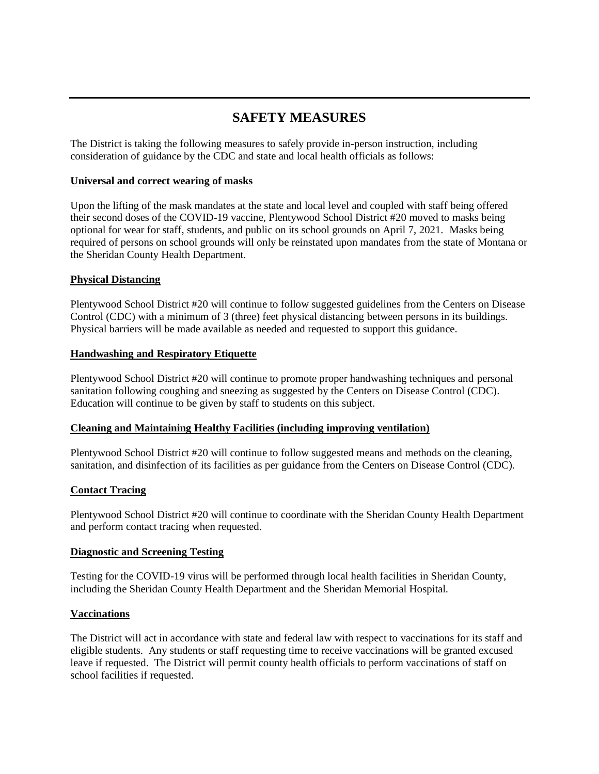## **SAFETY MEASURES**

The District is taking the following measures to safely provide in-person instruction, including consideration of guidance by the CDC and state and local health officials as follows:

#### **Universal and correct wearing of masks**

Upon the lifting of the mask mandates at the state and local level and coupled with staff being offered their second doses of the COVID-19 vaccine, Plentywood School District #20 moved to masks being optional for wear for staff, students, and public on its school grounds on April 7, 2021. Masks being required of persons on school grounds will only be reinstated upon mandates from the state of Montana or the Sheridan County Health Department.

#### **Physical Distancing**

Plentywood School District #20 will continue to follow suggested guidelines from the Centers on Disease Control (CDC) with a minimum of 3 (three) feet physical distancing between persons in its buildings. Physical barriers will be made available as needed and requested to support this guidance.

#### **Handwashing and Respiratory Etiquette**

Plentywood School District #20 will continue to promote proper handwashing techniques and personal sanitation following coughing and sneezing as suggested by the Centers on Disease Control (CDC). Education will continue to be given by staff to students on this subject.

#### **Cleaning and Maintaining Healthy Facilities (including improving ventilation)**

Plentywood School District #20 will continue to follow suggested means and methods on the cleaning, sanitation, and disinfection of its facilities as per guidance from the Centers on Disease Control (CDC).

#### **Contact Tracing**

Plentywood School District #20 will continue to coordinate with the Sheridan County Health Department and perform contact tracing when requested.

#### **Diagnostic and Screening Testing**

Testing for the COVID-19 virus will be performed through local health facilities in Sheridan County, including the Sheridan County Health Department and the Sheridan Memorial Hospital.

#### **Vaccinations**

The District will act in accordance with state and federal law with respect to vaccinations for its staff and eligible students. Any students or staff requesting time to receive vaccinations will be granted excused leave if requested. The District will permit county health officials to perform vaccinations of staff on school facilities if requested.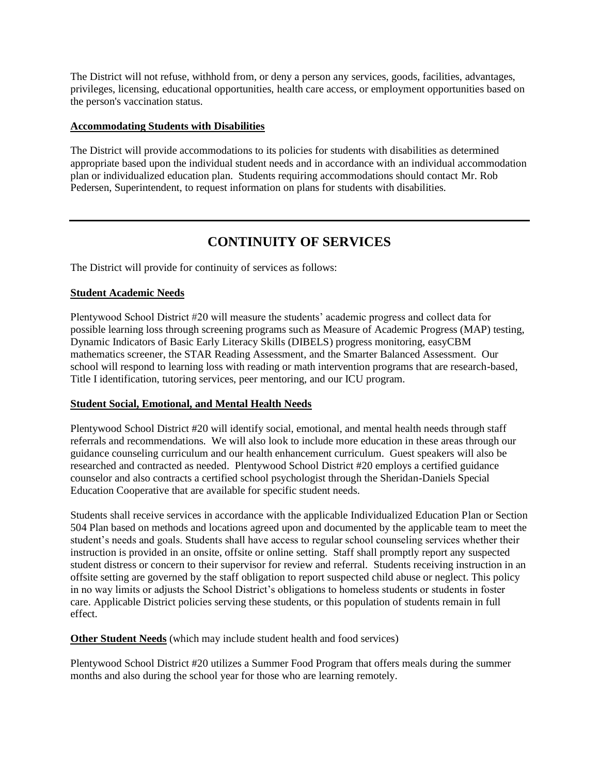The District will not refuse, withhold from, or deny a person any services, goods, facilities, advantages, privileges, licensing, educational opportunities, health care access, or employment opportunities based on the person's vaccination status.

#### **Accommodating Students with Disabilities**

The District will provide accommodations to its policies for students with disabilities as determined appropriate based upon the individual student needs and in accordance with an individual accommodation plan or individualized education plan. Students requiring accommodations should contact Mr. Rob Pedersen, Superintendent, to request information on plans for students with disabilities.

## **CONTINUITY OF SERVICES**

The District will provide for continuity of services as follows:

#### **Student Academic Needs**

Plentywood School District #20 will measure the students' academic progress and collect data for possible learning loss through screening programs such as Measure of Academic Progress (MAP) testing, Dynamic Indicators of Basic Early Literacy Skills (DIBELS) progress monitoring, easyCBM mathematics screener, the STAR Reading Assessment, and the Smarter Balanced Assessment. Our school will respond to learning loss with reading or math intervention programs that are research-based, Title I identification, tutoring services, peer mentoring, and our ICU program.

#### **Student Social, Emotional, and Mental Health Needs**

Plentywood School District #20 will identify social, emotional, and mental health needs through staff referrals and recommendations. We will also look to include more education in these areas through our guidance counseling curriculum and our health enhancement curriculum. Guest speakers will also be researched and contracted as needed. Plentywood School District #20 employs a certified guidance counselor and also contracts a certified school psychologist through the Sheridan-Daniels Special Education Cooperative that are available for specific student needs.

Students shall receive services in accordance with the applicable Individualized Education Plan or Section 504 Plan based on methods and locations agreed upon and documented by the applicable team to meet the student's needs and goals. Students shall have access to regular school counseling services whether their instruction is provided in an onsite, offsite or online setting. Staff shall promptly report any suspected student distress or concern to their supervisor for review and referral. Students receiving instruction in an offsite setting are governed by the staff obligation to report suspected child abuse or neglect. This policy in no way limits or adjusts the School District's obligations to homeless students or students in foster care. Applicable District policies serving these students, or this population of students remain in full effect.

**Other Student Needs** (which may include student health and food services)

Plentywood School District #20 utilizes a Summer Food Program that offers meals during the summer months and also during the school year for those who are learning remotely.